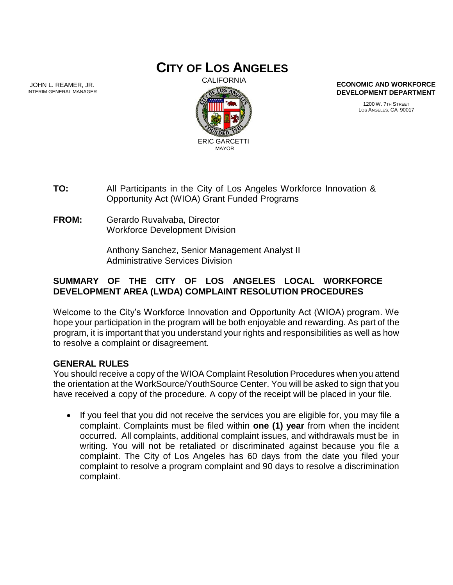# **CITY OF LOS ANGELES**

JOHN L. REAMER, JR. INTERIM GENERAL MANAGER



**ECONOMIC AND WORKFORCE DEVELOPMENT DEPARTMENT**

> 1200 W. 7TH STREET LOS ANGELES, CA 90017

- **TO:** All Participants in the City of Los Angeles Workforce Innovation & Opportunity Act (WIOA) Grant Funded Programs
- **FROM:** Gerardo Ruvalvaba, Director Workforce Development Division

Anthony Sanchez, Senior Management Analyst II Administrative Services Division

## **SUMMARY OF THE CITY OF LOS ANGELES LOCAL WORKFORCE DEVELOPMENT AREA (LWDA) COMPLAINT RESOLUTION PROCEDURES**

Welcome to the City's Workforce Innovation and Opportunity Act (WIOA) program. We hope your participation in the program will be both enjoyable and rewarding. As part of the program, it is important that you understand your rights and responsibilities as well as how to resolve a complaint or disagreement.

#### **GENERAL RULES**

You should receive a copy of the WIOA Complaint Resolution Procedures when you attend the orientation at the WorkSource/YouthSource Center. You will be asked to sign that you have received a copy of the procedure. A copy of the receipt will be placed in your file.

• If you feel that you did not receive the services you are eligible for, you may file a complaint. Complaints must be filed within **one (1) year** from when the incident occurred. All complaints, additional complaint issues, and withdrawals must be in writing. You will not be retaliated or discriminated against because you file a complaint. The City of Los Angeles has 60 days from the date you filed your complaint to resolve a program complaint and 90 days to resolve a discrimination complaint.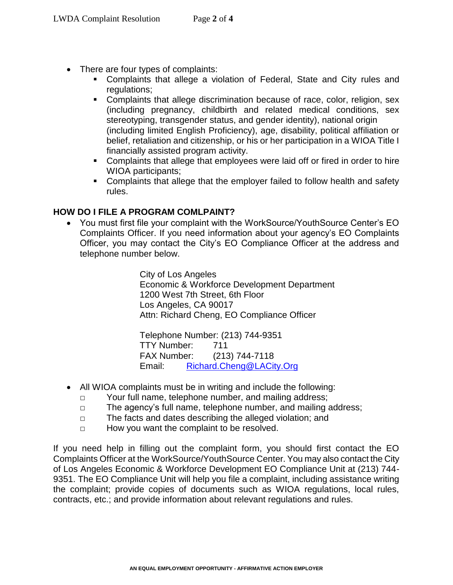- There are four types of complaints:
	- Complaints that allege a violation of Federal, State and City rules and regulations;
	- Complaints that allege discrimination because of race, color, religion, sex (including pregnancy, childbirth and related medical conditions, sex stereotyping, transgender status, and gender identity), national origin (including limited English Proficiency), age, disability, political affiliation or belief, retaliation and citizenship, or his or her participation in a WIOA Title I financially assisted program activity.
	- Complaints that allege that employees were laid off or fired in order to hire WIOA participants;
	- **Complaints that allege that the employer failed to follow health and safety** rules.

### **HOW DO I FILE A PROGRAM COMLPAINT?**

 You must first file your complaint with the WorkSource/YouthSource Center's EO Complaints Officer. If you need information about your agency's EO Complaints Officer, you may contact the City's EO Compliance Officer at the address and telephone number below.

> City of Los Angeles Economic & Workforce Development Department 1200 West 7th Street, 6th Floor Los Angeles, CA 90017 Attn: Richard Cheng, EO Compliance Officer

Telephone Number: (213) 744-9351 TTY Number: 711 FAX Number: (213) 744-7118 Email: [Richard.Cheng@LACity.Org](mailto:Richard.Cheng@LACity.Org)

- All WIOA complaints must be in writing and include the following:
	- □ Your full name, telephone number, and mailing address;
	- □ The agency's full name, telephone number, and mailing address;
	- □ The facts and dates describing the alleged violation; and
	- □ How you want the complaint to be resolved.

If you need help in filling out the complaint form, you should first contact the EO Complaints Officer at the WorkSource/YouthSource Center. You may also contact the City of Los Angeles Economic & Workforce Development EO Compliance Unit at (213) 744- 9351. The EO Compliance Unit will help you file a complaint, including assistance writing the complaint; provide copies of documents such as WIOA regulations, local rules, contracts, etc.; and provide information about relevant regulations and rules.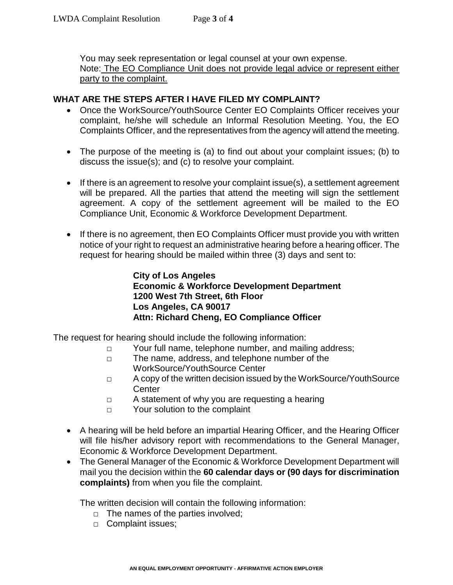You may seek representation or legal counsel at your own expense. Note: The EO Compliance Unit does not provide legal advice or represent either party to the complaint.

### **WHAT ARE THE STEPS AFTER I HAVE FILED MY COMPLAINT?**

- Once the WorkSource/YouthSource Center EO Complaints Officer receives your complaint, he/she will schedule an Informal Resolution Meeting. You, the EO Complaints Officer, and the representatives from the agency will attend the meeting.
- The purpose of the meeting is (a) to find out about your complaint issues; (b) to discuss the issue(s); and (c) to resolve your complaint.
- $\bullet$  If there is an agreement to resolve your complaint issue(s), a settlement agreement will be prepared. All the parties that attend the meeting will sign the settlement agreement. A copy of the settlement agreement will be mailed to the EO Compliance Unit, Economic & Workforce Development Department.
- If there is no agreement, then EO Complaints Officer must provide you with written notice of your right to request an administrative hearing before a hearing officer. The request for hearing should be mailed within three (3) days and sent to:

**City of Los Angeles Economic & Workforce Development Department 1200 West 7th Street, 6th Floor Los Angeles, CA 90017 Attn: Richard Cheng, EO Compliance Officer**

The request for hearing should include the following information:

- □ Your full name, telephone number, and mailing address;
- □ The name, address, and telephone number of the WorkSource/YouthSource Center
- □ A copy of the written decision issued by the WorkSource/YouthSource **Center**
- □ A statement of why you are requesting a hearing
- □ Your solution to the complaint
- A hearing will be held before an impartial Hearing Officer, and the Hearing Officer will file his/her advisory report with recommendations to the General Manager, Economic & Workforce Development Department.
- The General Manager of the Economic & Workforce Development Department will mail you the decision within the **60 calendar days or (90 days for discrimination complaints)** from when you file the complaint.

The written decision will contain the following information:

- $\Box$  The names of the parties involved;
- □ Complaint issues;